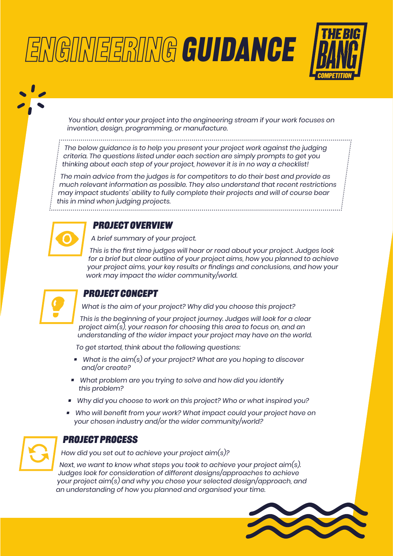# NGINEERING GUIDANCE



You should enter your project into the engineering stream if your work focuses on invention, design, programming, or manufacture.

The below guidance is to help you present your project work against the judging criteria. The questions listed under each section are simply prompts to get you thinking about each step of your project, however it is in no way a checklist!

The main advice from the judges is for competitors to do their best and provide as much relevant information as possible. They also understand that recent restrictions may impact students' ability to fully complete their projects and will of course bear this in mind when judging projects.



WIN

#### **Project overview**

A brief summary of your project.

This is the first time judges will hear or read about your project. Judges look for a brief but clear outline of your project aims, how you planned to achieve your project aims, your key results or findings and conclusions, and how your work may impact the wider community/world.



# **Project concept**

What is the aim of your project? Why did you choose this project?

This is the beginning of your project journey. Judges will look for a clear project aim(s), your reason for choosing this area to focus on, and an understanding of the wider impact your project may have on the world.

To get started, think about the following questions:

- $\blacksquare$  What is the aim(s) of your project? What are you hoping to discover and/or create?
- What problem are you trying to solve and how did you identify this problem?
- Why did you choose to work on this project? Who or what inspired you?
- Who will benefit from your work? What impact could your project have on your chosen industry and/or the wider community/world?



#### **Project process**

How did you set out to achieve your project aim(s)?

Next, we want to know what steps you took to achieve your project aim(s). Judges look for consideration of different designs/approaches to achieve your project aim(s) and why you chose your selected design/approach, and an understanding of how you planned and organised your time.

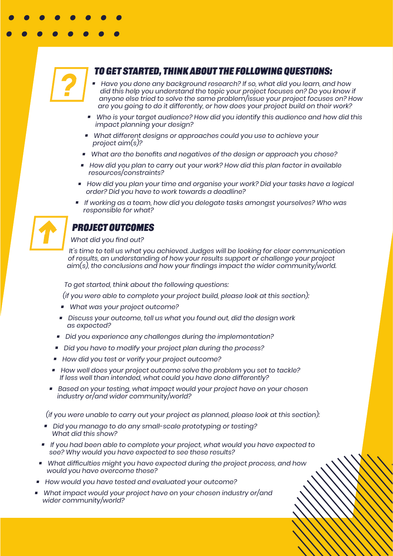

#### **To get started, think about the following questions:**

- Have you done any background research? If so, what did you learn, and how did this help you understand the topic your project focuses on? Do you know if anyone else tried to solve the same problem/issue your project focuses on? How are you going to do it differently, or how does your project build on their work?
- Who is your target audience? How did you identify this audience and how did this impact planning your design?
- What different designs or approaches could you use to achieve your project aim(s)?
- What are the benefits and negatives of the design or approach you chose?
- How did you plan to carry out your work? How did this plan factor in available resources/constraints?
- How did you plan your time and organise your work? Did your tasks have a logical order? Did you have to work towards a deadline?
- If working as a team, how did you delegate tasks amongst yourselves? Who was responsible for what?



## **Project outcomes**

#### What did you find out?

It's time to tell us what you achieved. Judges will be looking for clear communication of results, an understanding of how your results support or challenge your project aim(s), the conclusions and how your findings impact the wider community/world.

To get started, think about the following questions:

(if you were able to complete your project build, please look at this section):

- **What was your project outcome?**
- Discuss your outcome, tell us what you found out, did the design work as expected?
- Did you experience any challenges during the implementation?
- Did you have to modify your project plan during the process?
- How did you test or verify your project outcome?
- How well does your project outcome solve the problem you set to tackle? If less well than intended, what could you have done differently?
- Based on your testing, what impact would your project have on your chosen industry or/and wider community/world?

(if you were unable to carry out your project as planned, please look at this section):

- Did you manage to do any small-scale prototyping or testing? What did this show?
- If you had been able to complete your project, what would you have expected to see? Why would you have expected to see these results?
- What difficulties might you have expected during the project process, and how would you have overcome these?
- How would you have tested and evaluated your outcome?
- What impact would your project have on your chosen industry or/and wider community/world?